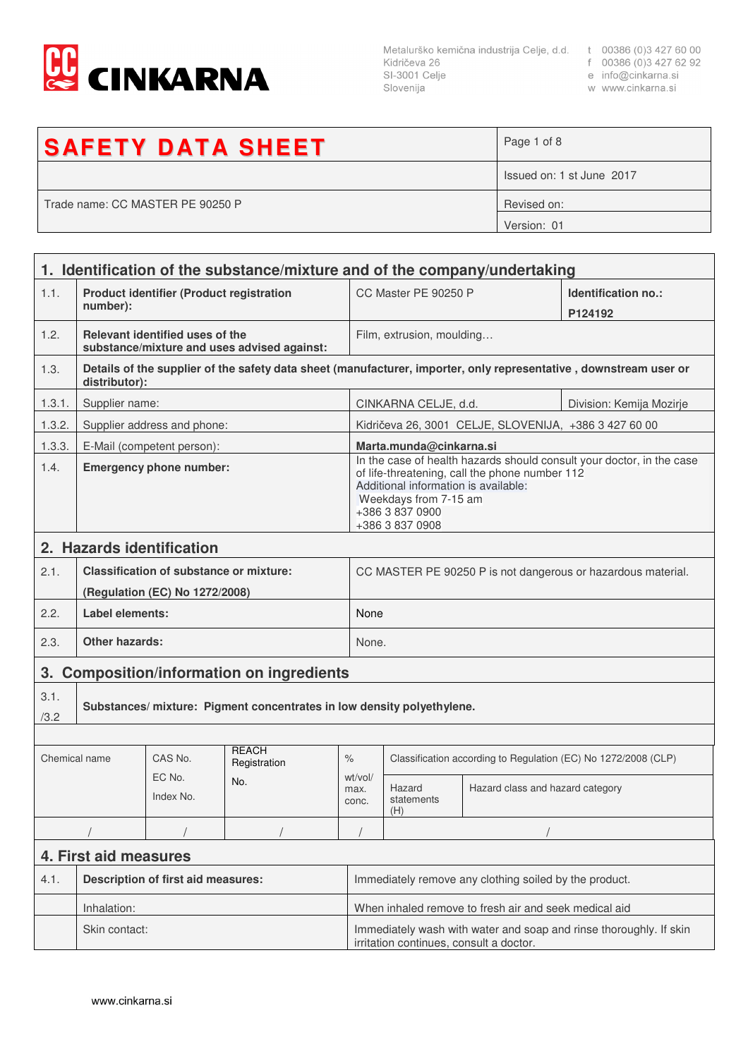

Metalurško kemična industrija Celje, d.d. t 00386 (0)3 427 60 00<br>Kidričeva 26 f 00386 (0)3 427 62 92<br>SI-3001 Celje e info@cinkarna.si Slovenija

- 
- 
- w www.cinkarna.si

| <b>SAFETY DATA SHEET</b>         | Page 1 of 8               |
|----------------------------------|---------------------------|
|                                  | Issued on: 1 st June 2017 |
| Trade name: CC MASTER PE 90250 P | Revised on:               |
|                                  | Version: 01               |

|               | 1. Identification of the substance/mixture and of the company/undertaking |                                                |                                             |                                                                                                                                                                                                                                |                                                                                                               |                                                       |                                                                                                                   |  |
|---------------|---------------------------------------------------------------------------|------------------------------------------------|---------------------------------------------|--------------------------------------------------------------------------------------------------------------------------------------------------------------------------------------------------------------------------------|---------------------------------------------------------------------------------------------------------------|-------------------------------------------------------|-------------------------------------------------------------------------------------------------------------------|--|
| 1.1.          | <b>Product identifier (Product registration</b><br>number):               |                                                |                                             | CC Master PE 90250 P                                                                                                                                                                                                           |                                                                                                               | Identification no.:<br>P124192                        |                                                                                                                   |  |
| 1.2.          |                                                                           | Relevant identified uses of the                | substance/mixture and uses advised against: |                                                                                                                                                                                                                                | Film, extrusion, moulding                                                                                     |                                                       |                                                                                                                   |  |
| 1.3.          | distributor):                                                             |                                                |                                             |                                                                                                                                                                                                                                |                                                                                                               |                                                       | Details of the supplier of the safety data sheet (manufacturer, importer, only representative, downstream user or |  |
| 1.3.1.        | Supplier name:                                                            |                                                |                                             |                                                                                                                                                                                                                                | CINKARNA CELJE, d.d.<br>Division: Kemija Mozirje                                                              |                                                       |                                                                                                                   |  |
| 1.3.2.        |                                                                           | Supplier address and phone:                    |                                             |                                                                                                                                                                                                                                |                                                                                                               | Kidričeva 26, 3001 CELJE, SLOVENIJA, +386 3 427 60 00 |                                                                                                                   |  |
| 1.3.3.        |                                                                           | E-Mail (competent person):                     |                                             |                                                                                                                                                                                                                                | Marta.munda@cinkarna.si                                                                                       |                                                       |                                                                                                                   |  |
| 1.4.          | <b>Emergency phone number:</b>                                            |                                                |                                             | In the case of health hazards should consult your doctor, in the case<br>of life-threatening, call the phone number 112<br>Additional information is available:<br>Weekdays from 7-15 am<br>+386 3 837 0900<br>+386 3 837 0908 |                                                                                                               |                                                       |                                                                                                                   |  |
|               |                                                                           | 2. Hazards identification                      |                                             |                                                                                                                                                                                                                                |                                                                                                               |                                                       |                                                                                                                   |  |
| 2.1.          |                                                                           | <b>Classification of substance or mixture:</b> |                                             |                                                                                                                                                                                                                                |                                                                                                               |                                                       | CC MASTER PE 90250 P is not dangerous or hazardous material.                                                      |  |
|               |                                                                           | (Regulation (EC) No 1272/2008)                 |                                             |                                                                                                                                                                                                                                |                                                                                                               |                                                       |                                                                                                                   |  |
| 2.2.          | Label elements:                                                           |                                                |                                             |                                                                                                                                                                                                                                | None                                                                                                          |                                                       |                                                                                                                   |  |
| 2.3.          | <b>Other hazards:</b>                                                     |                                                |                                             |                                                                                                                                                                                                                                | None.                                                                                                         |                                                       |                                                                                                                   |  |
|               | 3. Composition/information on ingredients                                 |                                                |                                             |                                                                                                                                                                                                                                |                                                                                                               |                                                       |                                                                                                                   |  |
| 3.1.<br>/3.2  | Substances/mixture: Pigment concentrates in low density polyethylene.     |                                                |                                             |                                                                                                                                                                                                                                |                                                                                                               |                                                       |                                                                                                                   |  |
|               |                                                                           |                                                |                                             |                                                                                                                                                                                                                                |                                                                                                               |                                                       |                                                                                                                   |  |
| Chemical name |                                                                           | CAS No.                                        | <b>REACH</b><br>Registration                | $\frac{1}{\sqrt{2}}$                                                                                                                                                                                                           | Classification according to Regulation (EC) No 1272/2008 (CLP)                                                |                                                       |                                                                                                                   |  |
|               |                                                                           | EC No.<br>Index No.                            | No.                                         | wt/vol/<br>max.<br>conc.                                                                                                                                                                                                       | Hazard<br>statements<br>(H)                                                                                   | Hazard class and hazard category                      |                                                                                                                   |  |
|               |                                                                           |                                                |                                             |                                                                                                                                                                                                                                |                                                                                                               |                                                       |                                                                                                                   |  |
|               | 4. First aid measures                                                     |                                                |                                             |                                                                                                                                                                                                                                |                                                                                                               |                                                       |                                                                                                                   |  |
| 4.1.          |                                                                           | <b>Description of first aid measures:</b>      |                                             |                                                                                                                                                                                                                                | Immediately remove any clothing soiled by the product.                                                        |                                                       |                                                                                                                   |  |
|               | Inhalation:                                                               |                                                |                                             |                                                                                                                                                                                                                                | When inhaled remove to fresh air and seek medical aid                                                         |                                                       |                                                                                                                   |  |
|               | Skin contact:                                                             |                                                |                                             |                                                                                                                                                                                                                                | Immediately wash with water and soap and rinse thoroughly. If skin<br>irritation continues, consult a doctor. |                                                       |                                                                                                                   |  |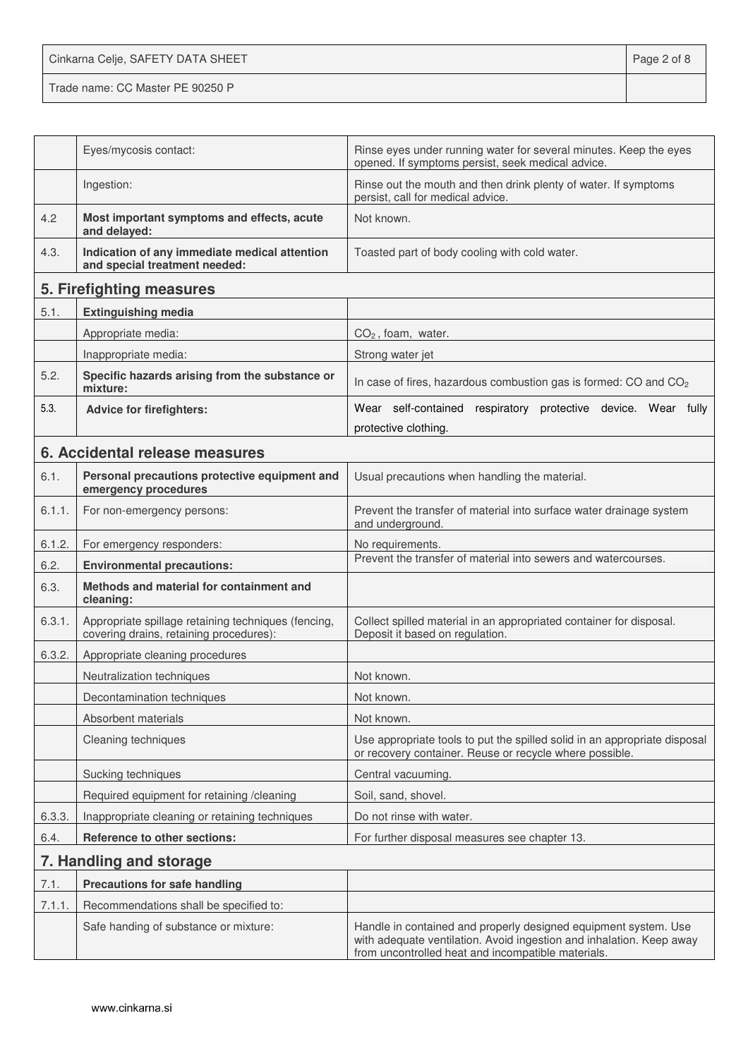Cinkarna Celje, SAFETY DATA SHEET **Page 2 of 8** Trade name: CC Master PE 90250 P

|        | Eyes/mycosis contact:                                                                          | Rinse eyes under running water for several minutes. Keep the eyes<br>opened. If symptoms persist, seek medical advice.                                                                        |
|--------|------------------------------------------------------------------------------------------------|-----------------------------------------------------------------------------------------------------------------------------------------------------------------------------------------------|
|        | Ingestion:                                                                                     | Rinse out the mouth and then drink plenty of water. If symptoms<br>persist, call for medical advice.                                                                                          |
| 4.2    | Most important symptoms and effects, acute<br>and delayed:                                     | Not known.                                                                                                                                                                                    |
| 4.3.   | Indication of any immediate medical attention<br>and special treatment needed:                 | Toasted part of body cooling with cold water.                                                                                                                                                 |
|        | 5. Firefighting measures                                                                       |                                                                                                                                                                                               |
| 5.1.   | <b>Extinguishing media</b>                                                                     |                                                                                                                                                                                               |
|        | Appropriate media:                                                                             | $CO2$ , foam, water.                                                                                                                                                                          |
|        | Inappropriate media:                                                                           | Strong water jet                                                                                                                                                                              |
| 5.2.   | Specific hazards arising from the substance or<br>mixture:                                     | In case of fires, hazardous combustion gas is formed: CO and CO <sub>2</sub>                                                                                                                  |
| 5.3.   | <b>Advice for firefighters:</b>                                                                | Wear self-contained respiratory protective device. Wear fully                                                                                                                                 |
|        |                                                                                                | protective clothing.                                                                                                                                                                          |
|        | 6. Accidental release measures                                                                 |                                                                                                                                                                                               |
| 6.1.   | Personal precautions protective equipment and<br>emergency procedures                          | Usual precautions when handling the material.                                                                                                                                                 |
| 6.1.1. | For non-emergency persons:                                                                     | Prevent the transfer of material into surface water drainage system<br>and underground.                                                                                                       |
| 6.1.2. | For emergency responders:                                                                      | No requirements.                                                                                                                                                                              |
| 6.2.   | <b>Environmental precautions:</b>                                                              | Prevent the transfer of material into sewers and watercourses.                                                                                                                                |
| 6.3.   | Methods and material for containment and<br>cleaning:                                          |                                                                                                                                                                                               |
| 6.3.1. | Appropriate spillage retaining techniques (fencing,<br>covering drains, retaining procedures): | Collect spilled material in an appropriated container for disposal.<br>Deposit it based on regulation.                                                                                        |
| 6.3.2. | Appropriate cleaning procedures                                                                |                                                                                                                                                                                               |
|        | Neutralization techniques                                                                      | Not known.                                                                                                                                                                                    |
|        | Decontamination techniques                                                                     | Not known.                                                                                                                                                                                    |
|        | Absorbent materials                                                                            | Not known.                                                                                                                                                                                    |
|        | Cleaning techniques                                                                            | Use appropriate tools to put the spilled solid in an appropriate disposal<br>or recovery container. Reuse or recycle where possible.                                                          |
|        | Sucking techniques                                                                             | Central vacuuming.                                                                                                                                                                            |
|        | Required equipment for retaining /cleaning                                                     | Soil, sand, shovel.                                                                                                                                                                           |
| 6.3.3. | Inappropriate cleaning or retaining techniques                                                 | Do not rinse with water.                                                                                                                                                                      |
| 6.4.   | <b>Reference to other sections:</b>                                                            | For further disposal measures see chapter 13.                                                                                                                                                 |
|        | 7. Handling and storage                                                                        |                                                                                                                                                                                               |
| 7.1.   | <b>Precautions for safe handling</b>                                                           |                                                                                                                                                                                               |
| 7.1.1. | Recommendations shall be specified to:                                                         |                                                                                                                                                                                               |
|        | Safe handing of substance or mixture:                                                          | Handle in contained and properly designed equipment system. Use<br>with adequate ventilation. Avoid ingestion and inhalation. Keep away<br>from uncontrolled heat and incompatible materials. |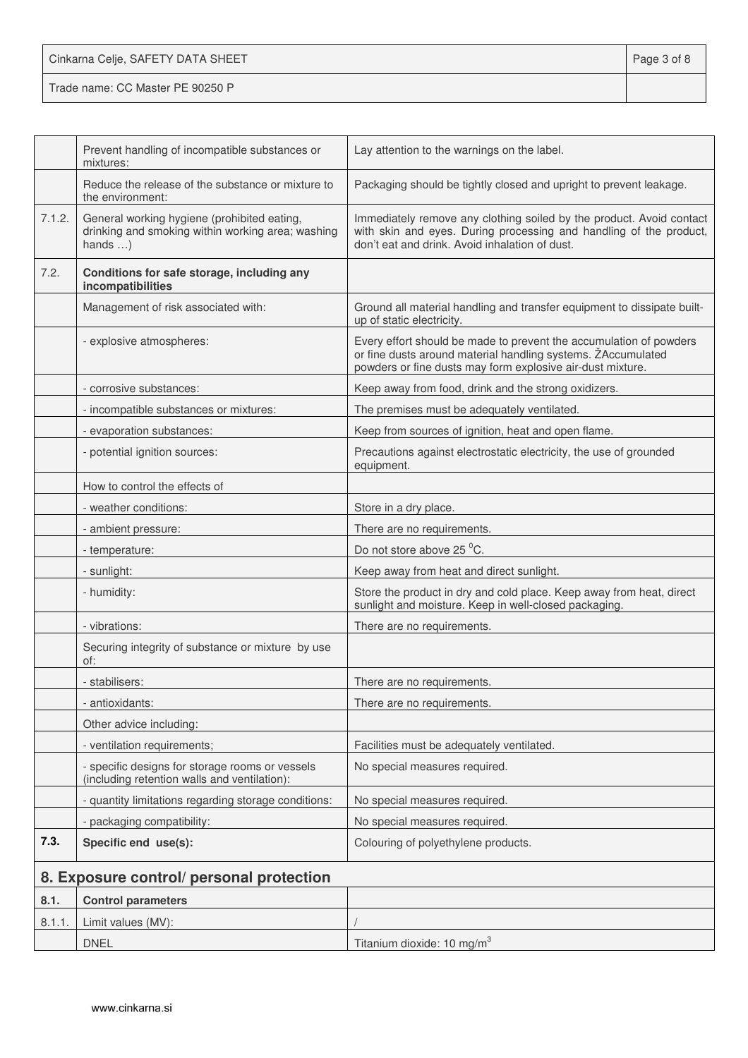| Cinkarna Celje, SAFETY DATA SHEET | Page 3 of 8 |
|-----------------------------------|-------------|
| Trade name: CC Master PE 90250 P  |             |

|        | Prevent handling of incompatible substances or<br>mixtures:                                                          | Lay attention to the warnings on the label.                                                                                                                                                      |
|--------|----------------------------------------------------------------------------------------------------------------------|--------------------------------------------------------------------------------------------------------------------------------------------------------------------------------------------------|
|        | Reduce the release of the substance or mixture to<br>the environment:                                                | Packaging should be tightly closed and upright to prevent leakage.                                                                                                                               |
| 7.1.2. | General working hygiene (prohibited eating,<br>drinking and smoking within working area; washing<br>hands $\ldots$ ) | Immediately remove any clothing soiled by the product. Avoid contact<br>with skin and eyes. During processing and handling of the product,<br>don't eat and drink. Avoid inhalation of dust.     |
| 7.2.   | Conditions for safe storage, including any<br>incompatibilities                                                      |                                                                                                                                                                                                  |
|        | Management of risk associated with:                                                                                  | Ground all material handling and transfer equipment to dissipate built-<br>up of static electricity.                                                                                             |
|        | - explosive atmospheres:                                                                                             | Every effort should be made to prevent the accumulation of powders<br>or fine dusts around material handling systems. ŽAccumulated<br>powders or fine dusts may form explosive air-dust mixture. |
|        | - corrosive substances:                                                                                              | Keep away from food, drink and the strong oxidizers.                                                                                                                                             |
|        | - incompatible substances or mixtures:                                                                               | The premises must be adequately ventilated.                                                                                                                                                      |
|        | - evaporation substances:                                                                                            | Keep from sources of ignition, heat and open flame.                                                                                                                                              |
|        | - potential ignition sources:                                                                                        | Precautions against electrostatic electricity, the use of grounded<br>equipment.                                                                                                                 |
|        | How to control the effects of                                                                                        |                                                                                                                                                                                                  |
|        | - weather conditions:                                                                                                | Store in a dry place.                                                                                                                                                                            |
|        | - ambient pressure:                                                                                                  | There are no requirements.                                                                                                                                                                       |
|        | - temperature:                                                                                                       | Do not store above 25 °C.                                                                                                                                                                        |
|        | - sunlight:                                                                                                          | Keep away from heat and direct sunlight.                                                                                                                                                         |
|        | - humidity:                                                                                                          | Store the product in dry and cold place. Keep away from heat, direct<br>sunlight and moisture. Keep in well-closed packaging.                                                                    |
|        | - vibrations:                                                                                                        | There are no requirements.                                                                                                                                                                       |
|        | Securing integrity of substance or mixture by use<br>of:                                                             |                                                                                                                                                                                                  |
|        | - stabilisers:                                                                                                       | There are no requirements.                                                                                                                                                                       |
|        | - antioxidants:                                                                                                      | There are no requirements.                                                                                                                                                                       |
|        | Other advice including:                                                                                              |                                                                                                                                                                                                  |
|        | - ventilation requirements;                                                                                          | Facilities must be adequately ventilated.                                                                                                                                                        |
|        | - specific designs for storage rooms or vessels<br>(including retention walls and ventilation):                      | No special measures required.                                                                                                                                                                    |
|        | - quantity limitations regarding storage conditions:                                                                 | No special measures required.                                                                                                                                                                    |
|        | - packaging compatibility:                                                                                           | No special measures required.                                                                                                                                                                    |
| 7.3.   | Specific end use(s):                                                                                                 | Colouring of polyethylene products.                                                                                                                                                              |
|        | 8. Exposure control/ personal protection                                                                             |                                                                                                                                                                                                  |
| 8.1.   | <b>Control parameters</b>                                                                                            |                                                                                                                                                                                                  |
| 8.1.1  | Limit values (MV):                                                                                                   |                                                                                                                                                                                                  |
|        | <b>DNEL</b>                                                                                                          | Titanium dioxide: 10 mg/m <sup>3</sup>                                                                                                                                                           |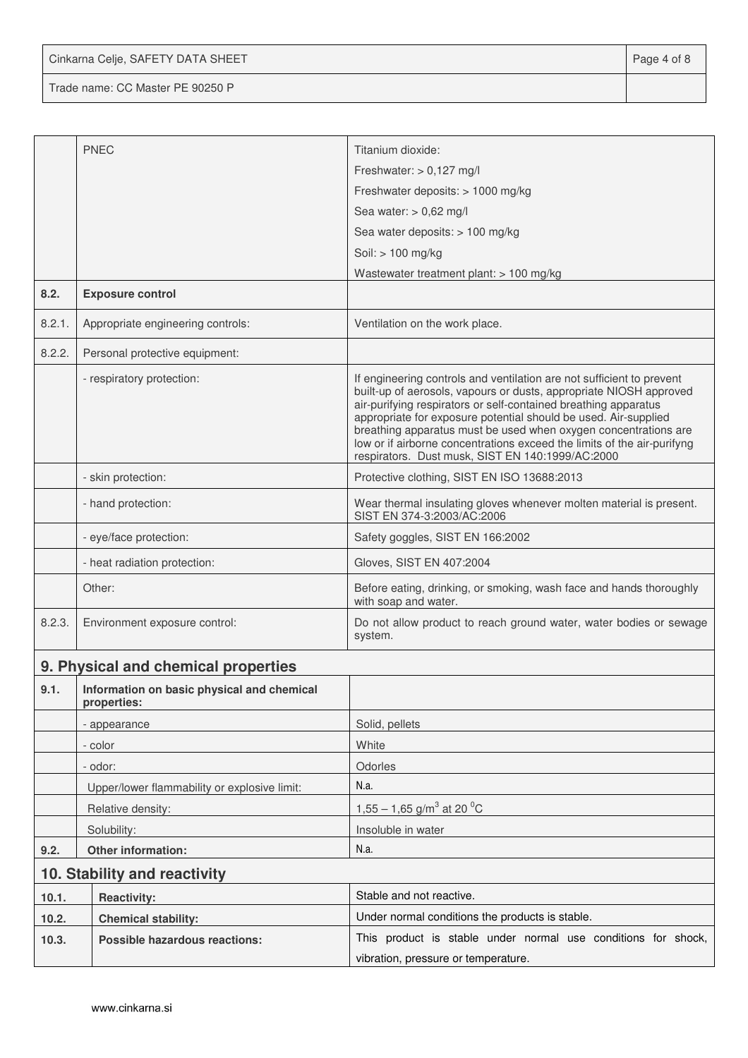Cinkarna Celje, SAFETY DATA SHEET **Page 4 of 8** 

Trade name: CC Master PE 90250 P

|        | <b>PNEC</b>                                               | Titanium dioxide:                                                                                                                                                                                                                                                                                                                                                                                                                                                                   |  |
|--------|-----------------------------------------------------------|-------------------------------------------------------------------------------------------------------------------------------------------------------------------------------------------------------------------------------------------------------------------------------------------------------------------------------------------------------------------------------------------------------------------------------------------------------------------------------------|--|
|        |                                                           | Freshwater: $> 0,127$ mg/l                                                                                                                                                                                                                                                                                                                                                                                                                                                          |  |
|        |                                                           | Freshwater deposits: > 1000 mg/kg                                                                                                                                                                                                                                                                                                                                                                                                                                                   |  |
|        |                                                           | Sea water: $> 0.62$ mg/l                                                                                                                                                                                                                                                                                                                                                                                                                                                            |  |
|        |                                                           | Sea water deposits: > 100 mg/kg                                                                                                                                                                                                                                                                                                                                                                                                                                                     |  |
|        |                                                           | Soil: > 100 mg/kg                                                                                                                                                                                                                                                                                                                                                                                                                                                                   |  |
| 8.2.   | <b>Exposure control</b>                                   | Wastewater treatment plant: > 100 mg/kg                                                                                                                                                                                                                                                                                                                                                                                                                                             |  |
| 8.2.1. | Appropriate engineering controls:                         | Ventilation on the work place.                                                                                                                                                                                                                                                                                                                                                                                                                                                      |  |
| 8.2.2. | Personal protective equipment:                            |                                                                                                                                                                                                                                                                                                                                                                                                                                                                                     |  |
|        | - respiratory protection:                                 | If engineering controls and ventilation are not sufficient to prevent<br>built-up of aerosols, vapours or dusts, appropriate NIOSH approved<br>air-purifying respirators or self-contained breathing apparatus<br>appropriate for exposure potential should be used. Air-supplied<br>breathing apparatus must be used when oxygen concentrations are<br>low or if airborne concentrations exceed the limits of the air-purifyng<br>respirators. Dust musk, SIST EN 140:1999/AC:2000 |  |
|        | - skin protection:                                        | Protective clothing, SIST EN ISO 13688:2013                                                                                                                                                                                                                                                                                                                                                                                                                                         |  |
|        | - hand protection:                                        | Wear thermal insulating gloves whenever molten material is present.<br>SIST EN 374-3:2003/AC:2006                                                                                                                                                                                                                                                                                                                                                                                   |  |
|        | - eye/face protection:                                    | Safety goggles, SIST EN 166:2002                                                                                                                                                                                                                                                                                                                                                                                                                                                    |  |
|        | - heat radiation protection:                              | Gloves, SIST EN 407:2004                                                                                                                                                                                                                                                                                                                                                                                                                                                            |  |
|        | Other:                                                    | Before eating, drinking, or smoking, wash face and hands thoroughly<br>with soap and water.                                                                                                                                                                                                                                                                                                                                                                                         |  |
| 8.2.3. | Environment exposure control:                             | Do not allow product to reach ground water, water bodies or sewage<br>system.                                                                                                                                                                                                                                                                                                                                                                                                       |  |
|        | 9. Physical and chemical properties                       |                                                                                                                                                                                                                                                                                                                                                                                                                                                                                     |  |
| 9.1.   | Information on basic physical and chemical<br>properties: |                                                                                                                                                                                                                                                                                                                                                                                                                                                                                     |  |
|        | - appearance                                              | Solid, pellets                                                                                                                                                                                                                                                                                                                                                                                                                                                                      |  |
|        | - color                                                   | White                                                                                                                                                                                                                                                                                                                                                                                                                                                                               |  |
|        | - odor:                                                   | Odorles                                                                                                                                                                                                                                                                                                                                                                                                                                                                             |  |
|        | Upper/lower flammability or explosive limit:              | N.a.                                                                                                                                                                                                                                                                                                                                                                                                                                                                                |  |
|        | Relative density:                                         | 1,55 – 1,65 g/m <sup>3</sup> at 20 <sup>o</sup> C                                                                                                                                                                                                                                                                                                                                                                                                                                   |  |
|        | Solubility:                                               | Insoluble in water                                                                                                                                                                                                                                                                                                                                                                                                                                                                  |  |
| 9.2.   | Other information:                                        | N.a.                                                                                                                                                                                                                                                                                                                                                                                                                                                                                |  |
|        | 10. Stability and reactivity                              |                                                                                                                                                                                                                                                                                                                                                                                                                                                                                     |  |
| 10.1.  | <b>Reactivity:</b>                                        | Stable and not reactive.                                                                                                                                                                                                                                                                                                                                                                                                                                                            |  |
| 10.2.  | <b>Chemical stability:</b>                                | Under normal conditions the products is stable.                                                                                                                                                                                                                                                                                                                                                                                                                                     |  |
| 10.3.  | <b>Possible hazardous reactions:</b>                      | This product is stable under normal use conditions for shock,                                                                                                                                                                                                                                                                                                                                                                                                                       |  |
|        |                                                           | vibration, pressure or temperature.                                                                                                                                                                                                                                                                                                                                                                                                                                                 |  |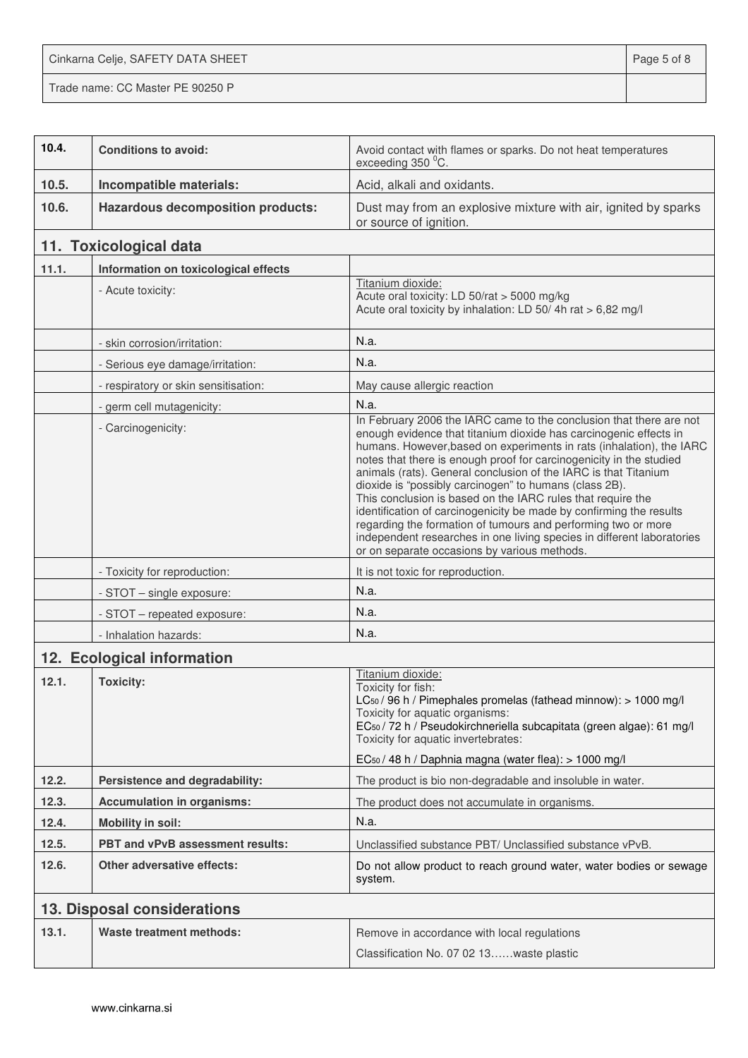Cinkarna Celje, SAFETY DATA SHEET **Page 5 of 8** 

Trade name: CC Master PE 90250 P

| 10.4. | <b>Conditions to avoid:</b>              | Avoid contact with flames or sparks. Do not heat temperatures<br>exceeding 350 °C.                                                                                                                                                                                                                                                                                                                                                                                                                                                                                                                                                                                                                                                                    |
|-------|------------------------------------------|-------------------------------------------------------------------------------------------------------------------------------------------------------------------------------------------------------------------------------------------------------------------------------------------------------------------------------------------------------------------------------------------------------------------------------------------------------------------------------------------------------------------------------------------------------------------------------------------------------------------------------------------------------------------------------------------------------------------------------------------------------|
| 10.5. | Incompatible materials:                  | Acid, alkali and oxidants.                                                                                                                                                                                                                                                                                                                                                                                                                                                                                                                                                                                                                                                                                                                            |
| 10.6. | <b>Hazardous decomposition products:</b> | Dust may from an explosive mixture with air, ignited by sparks<br>or source of ignition.                                                                                                                                                                                                                                                                                                                                                                                                                                                                                                                                                                                                                                                              |
|       | 11. Toxicological data                   |                                                                                                                                                                                                                                                                                                                                                                                                                                                                                                                                                                                                                                                                                                                                                       |
| 11.1. | Information on toxicological effects     |                                                                                                                                                                                                                                                                                                                                                                                                                                                                                                                                                                                                                                                                                                                                                       |
|       | - Acute toxicity:                        | Titanium dioxide:<br>Acute oral toxicity: LD 50/rat > 5000 mg/kg<br>Acute oral toxicity by inhalation: LD 50/4h rat > 6,82 mg/l                                                                                                                                                                                                                                                                                                                                                                                                                                                                                                                                                                                                                       |
|       | - skin corrosion/irritation:             | N.a.                                                                                                                                                                                                                                                                                                                                                                                                                                                                                                                                                                                                                                                                                                                                                  |
|       | - Serious eye damage/irritation:         | N.a.                                                                                                                                                                                                                                                                                                                                                                                                                                                                                                                                                                                                                                                                                                                                                  |
|       | - respiratory or skin sensitisation:     | May cause allergic reaction                                                                                                                                                                                                                                                                                                                                                                                                                                                                                                                                                                                                                                                                                                                           |
|       | - germ cell mutagenicity:                | N.a.                                                                                                                                                                                                                                                                                                                                                                                                                                                                                                                                                                                                                                                                                                                                                  |
|       | - Carcinogenicity:                       | In February 2006 the IARC came to the conclusion that there are not<br>enough evidence that titanium dioxide has carcinogenic effects in<br>humans. However, based on experiments in rats (inhalation), the IARC<br>notes that there is enough proof for carcinogenicity in the studied<br>animals (rats). General conclusion of the IARC is that Titanium<br>dioxide is "possibly carcinogen" to humans (class 2B).<br>This conclusion is based on the IARC rules that require the<br>identification of carcinogenicity be made by confirming the results<br>regarding the formation of tumours and performing two or more<br>independent researches in one living species in different laboratories<br>or on separate occasions by various methods. |
|       | - Toxicity for reproduction:             | It is not toxic for reproduction.                                                                                                                                                                                                                                                                                                                                                                                                                                                                                                                                                                                                                                                                                                                     |
|       | - STOT - single exposure:                | N.a.                                                                                                                                                                                                                                                                                                                                                                                                                                                                                                                                                                                                                                                                                                                                                  |
|       | - STOT - repeated exposure:              | N.a.                                                                                                                                                                                                                                                                                                                                                                                                                                                                                                                                                                                                                                                                                                                                                  |
|       | - Inhalation hazards:                    | N.a.                                                                                                                                                                                                                                                                                                                                                                                                                                                                                                                                                                                                                                                                                                                                                  |
|       | 12. Ecological information               |                                                                                                                                                                                                                                                                                                                                                                                                                                                                                                                                                                                                                                                                                                                                                       |
| 12.1. | <b>Toxicity:</b>                         | Titanium dioxide:<br>Toxicity for fish:<br>$LC_{50}$ / 96 h / Pimephales promelas (fathead minnow): $> 1000$ mg/l<br>Toxicity for aquatic organisms:<br>EC <sub>50</sub> / 72 h / Pseudokirchneriella subcapitata (green algae): 61 mg/l<br>Toxicity for aquatic invertebrates:<br>EC <sub>50</sub> / 48 h / Daphnia magna (water flea): > 1000 mg/l                                                                                                                                                                                                                                                                                                                                                                                                  |
| 12.2. | Persistence and degradability:           | The product is bio non-degradable and insoluble in water.                                                                                                                                                                                                                                                                                                                                                                                                                                                                                                                                                                                                                                                                                             |
| 12.3. | <b>Accumulation in organisms:</b>        | The product does not accumulate in organisms.                                                                                                                                                                                                                                                                                                                                                                                                                                                                                                                                                                                                                                                                                                         |
| 12.4. | <b>Mobility in soil:</b>                 | N.a.                                                                                                                                                                                                                                                                                                                                                                                                                                                                                                                                                                                                                                                                                                                                                  |
| 12.5. | PBT and vPvB assessment results:         | Unclassified substance PBT/ Unclassified substance vPvB.                                                                                                                                                                                                                                                                                                                                                                                                                                                                                                                                                                                                                                                                                              |
| 12.6. | <b>Other adversative effects:</b>        | Do not allow product to reach ground water, water bodies or sewage<br>system.                                                                                                                                                                                                                                                                                                                                                                                                                                                                                                                                                                                                                                                                         |
|       | 13. Disposal considerations              |                                                                                                                                                                                                                                                                                                                                                                                                                                                                                                                                                                                                                                                                                                                                                       |
| 13.1. | Waste treatment methods:                 | Remove in accordance with local regulations<br>Classification No. 07 02 13waste plastic                                                                                                                                                                                                                                                                                                                                                                                                                                                                                                                                                                                                                                                               |
|       |                                          |                                                                                                                                                                                                                                                                                                                                                                                                                                                                                                                                                                                                                                                                                                                                                       |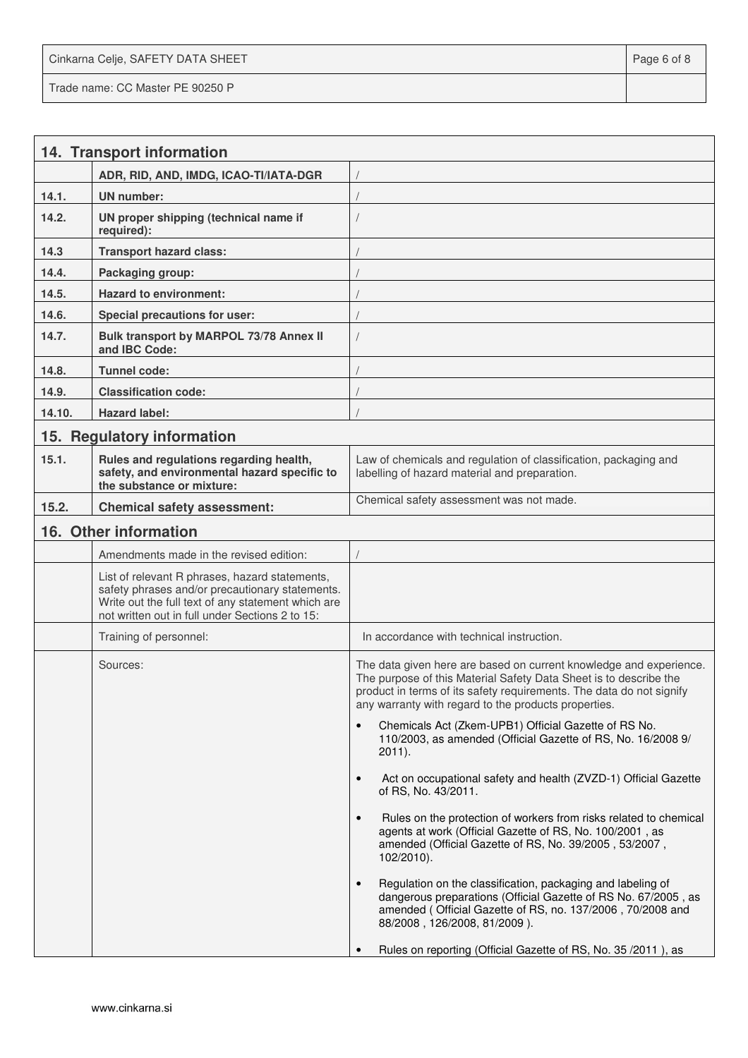Cinkarna Celje, SAFETY DATA SHEET **Page 6 of 8** and 2011 12 and 2012 12 and 2012 12 and 2012 12 and 2012 12 and 201 Trade name: CC Master PE 90250 P

|        | 14. Transport information                                                                                                                                                                                  |                                                                                                                                                                                                                                                                         |
|--------|------------------------------------------------------------------------------------------------------------------------------------------------------------------------------------------------------------|-------------------------------------------------------------------------------------------------------------------------------------------------------------------------------------------------------------------------------------------------------------------------|
|        | ADR, RID, AND, IMDG, ICAO-TI/IATA-DGR                                                                                                                                                                      |                                                                                                                                                                                                                                                                         |
| 14.1.  | <b>UN</b> number:                                                                                                                                                                                          |                                                                                                                                                                                                                                                                         |
| 14.2.  | UN proper shipping (technical name if<br>required):                                                                                                                                                        |                                                                                                                                                                                                                                                                         |
| 14.3   | <b>Transport hazard class:</b>                                                                                                                                                                             |                                                                                                                                                                                                                                                                         |
| 14.4.  | Packaging group:                                                                                                                                                                                           |                                                                                                                                                                                                                                                                         |
| 14.5.  | <b>Hazard to environment:</b>                                                                                                                                                                              |                                                                                                                                                                                                                                                                         |
| 14.6.  | Special precautions for user:                                                                                                                                                                              |                                                                                                                                                                                                                                                                         |
| 14.7.  | Bulk transport by MARPOL 73/78 Annex II<br>and IBC Code:                                                                                                                                                   |                                                                                                                                                                                                                                                                         |
| 14.8.  | <b>Tunnel code:</b>                                                                                                                                                                                        |                                                                                                                                                                                                                                                                         |
| 14.9.  | <b>Classification code:</b>                                                                                                                                                                                |                                                                                                                                                                                                                                                                         |
| 14.10. | <b>Hazard label:</b>                                                                                                                                                                                       |                                                                                                                                                                                                                                                                         |
|        | 15. Regulatory information                                                                                                                                                                                 |                                                                                                                                                                                                                                                                         |
| 15.1.  | Rules and regulations regarding health,<br>safety, and environmental hazard specific to<br>the substance or mixture:                                                                                       | Law of chemicals and regulation of classification, packaging and<br>labelling of hazard material and preparation.                                                                                                                                                       |
| 15.2.  | <b>Chemical safety assessment:</b>                                                                                                                                                                         | Chemical safety assessment was not made.                                                                                                                                                                                                                                |
|        | 16. Other information                                                                                                                                                                                      |                                                                                                                                                                                                                                                                         |
|        | Amendments made in the revised edition:                                                                                                                                                                    |                                                                                                                                                                                                                                                                         |
|        | List of relevant R phrases, hazard statements,<br>safety phrases and/or precautionary statements.<br>Write out the full text of any statement which are<br>not written out in full under Sections 2 to 15: |                                                                                                                                                                                                                                                                         |
|        | Training of personnel:                                                                                                                                                                                     | In accordance with technical instruction.                                                                                                                                                                                                                               |
|        | Sources:                                                                                                                                                                                                   | The data given here are based on current knowledge and experience.<br>The purpose of this Material Safety Data Sheet is to describe the<br>product in terms of its safety requirements. The data do not signify<br>any warranty with regard to the products properties. |
|        |                                                                                                                                                                                                            | Chemicals Act (Zkem-UPB1) Official Gazette of RS No.<br>$\bullet$<br>110/2003, as amended (Official Gazette of RS, No. 16/2008 9/<br>$2011$ ).                                                                                                                          |
|        |                                                                                                                                                                                                            | Act on occupational safety and health (ZVZD-1) Official Gazette<br>$\bullet$<br>of RS, No. 43/2011.                                                                                                                                                                     |
|        |                                                                                                                                                                                                            | Rules on the protection of workers from risks related to chemical<br>$\bullet$<br>agents at work (Official Gazette of RS, No. 100/2001, as<br>amended (Official Gazette of RS, No. 39/2005, 53/2007,<br>$102/2010$ ).                                                   |
|        |                                                                                                                                                                                                            | Regulation on the classification, packaging and labeling of<br>$\bullet$<br>dangerous preparations (Official Gazette of RS No. 67/2005, as<br>amended (Official Gazette of RS, no. 137/2006, 70/2008 and<br>88/2008, 126/2008, 81/2009).                                |
|        |                                                                                                                                                                                                            | Rules on reporting (Official Gazette of RS, No. 35 / 2011), as                                                                                                                                                                                                          |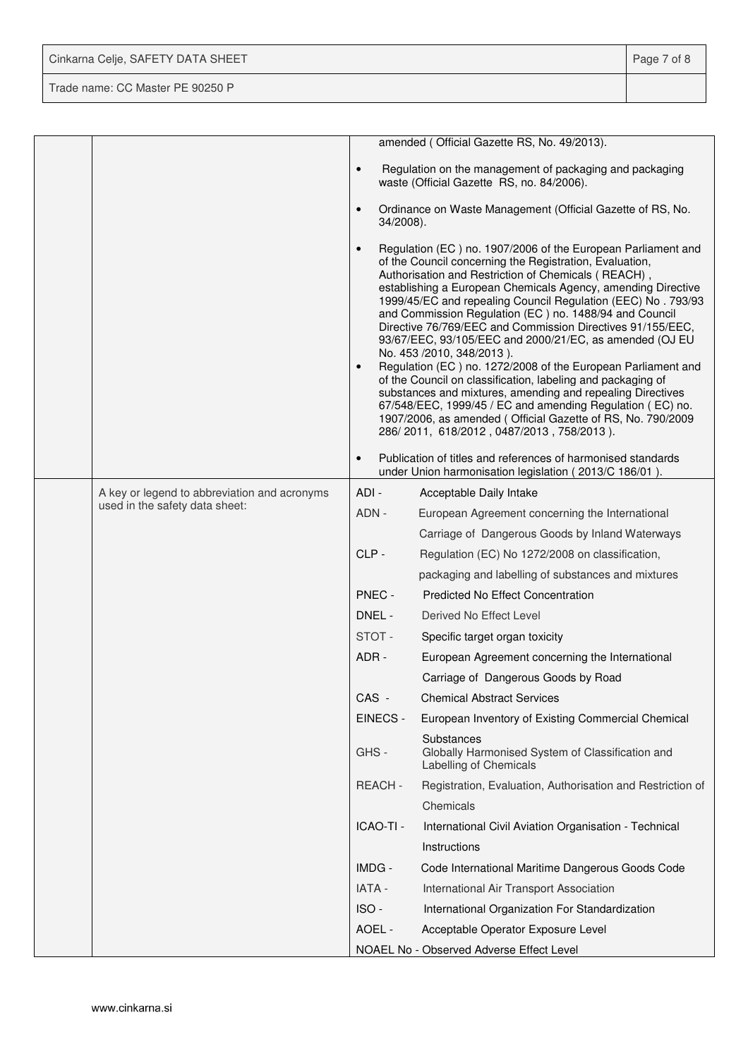| Cinkarna Celje, SAFETY DATA SHEET | Page 7 of 8 |
|-----------------------------------|-------------|
| Trade name: CC Master PE 90250 P  |             |

|                                              |                        | amended (Official Gazette RS, No. 49/2013).                                                                                                                                                                                                                                                                                                                                                                                                                                                                                                                                                                                                                                                                                                                                                                                                                                                          |
|----------------------------------------------|------------------------|------------------------------------------------------------------------------------------------------------------------------------------------------------------------------------------------------------------------------------------------------------------------------------------------------------------------------------------------------------------------------------------------------------------------------------------------------------------------------------------------------------------------------------------------------------------------------------------------------------------------------------------------------------------------------------------------------------------------------------------------------------------------------------------------------------------------------------------------------------------------------------------------------|
|                                              | $\bullet$              | Regulation on the management of packaging and packaging<br>waste (Official Gazette RS, no. 84/2006).                                                                                                                                                                                                                                                                                                                                                                                                                                                                                                                                                                                                                                                                                                                                                                                                 |
|                                              | $\bullet$<br>34/2008). | Ordinance on Waste Management (Official Gazette of RS, No.                                                                                                                                                                                                                                                                                                                                                                                                                                                                                                                                                                                                                                                                                                                                                                                                                                           |
|                                              | $\bullet$<br>$\bullet$ | Regulation (EC) no. 1907/2006 of the European Parliament and<br>of the Council concerning the Registration, Evaluation,<br>Authorisation and Restriction of Chemicals (REACH),<br>establishing a European Chemicals Agency, amending Directive<br>1999/45/EC and repealing Council Regulation (EEC) No. 793/93<br>and Commission Regulation (EC) no. 1488/94 and Council<br>Directive 76/769/EEC and Commission Directives 91/155/EEC,<br>93/67/EEC, 93/105/EEC and 2000/21/EC, as amended (OJ EU<br>No. 453 /2010, 348/2013).<br>Regulation (EC) no. 1272/2008 of the European Parliament and<br>of the Council on classification, labeling and packaging of<br>substances and mixtures, amending and repealing Directives<br>67/548/EEC, 1999/45 / EC and amending Regulation (EC) no.<br>1907/2006, as amended (Official Gazette of RS, No. 790/2009<br>286/2011, 618/2012, 0487/2013, 758/2013). |
|                                              | $\bullet$              | Publication of titles and references of harmonised standards<br>under Union harmonisation legislation (2013/C 186/01).                                                                                                                                                                                                                                                                                                                                                                                                                                                                                                                                                                                                                                                                                                                                                                               |
| A key or legend to abbreviation and acronyms | ADI -                  | Acceptable Daily Intake                                                                                                                                                                                                                                                                                                                                                                                                                                                                                                                                                                                                                                                                                                                                                                                                                                                                              |
| used in the safety data sheet:               | ADN -                  | European Agreement concerning the International                                                                                                                                                                                                                                                                                                                                                                                                                                                                                                                                                                                                                                                                                                                                                                                                                                                      |
|                                              |                        | Carriage of Dangerous Goods by Inland Waterways                                                                                                                                                                                                                                                                                                                                                                                                                                                                                                                                                                                                                                                                                                                                                                                                                                                      |
|                                              | CLP-                   | Regulation (EC) No 1272/2008 on classification,                                                                                                                                                                                                                                                                                                                                                                                                                                                                                                                                                                                                                                                                                                                                                                                                                                                      |
|                                              |                        | packaging and labelling of substances and mixtures                                                                                                                                                                                                                                                                                                                                                                                                                                                                                                                                                                                                                                                                                                                                                                                                                                                   |
|                                              | PNEC -                 | <b>Predicted No Effect Concentration</b>                                                                                                                                                                                                                                                                                                                                                                                                                                                                                                                                                                                                                                                                                                                                                                                                                                                             |
|                                              | DNEL -                 | Derived No Effect Level                                                                                                                                                                                                                                                                                                                                                                                                                                                                                                                                                                                                                                                                                                                                                                                                                                                                              |
|                                              | STOT-                  | Specific target organ toxicity                                                                                                                                                                                                                                                                                                                                                                                                                                                                                                                                                                                                                                                                                                                                                                                                                                                                       |
|                                              | ADR-                   | European Agreement concerning the International                                                                                                                                                                                                                                                                                                                                                                                                                                                                                                                                                                                                                                                                                                                                                                                                                                                      |
|                                              |                        | Carriage of Dangerous Goods by Road                                                                                                                                                                                                                                                                                                                                                                                                                                                                                                                                                                                                                                                                                                                                                                                                                                                                  |
|                                              | CAS -                  | <b>Chemical Abstract Services</b>                                                                                                                                                                                                                                                                                                                                                                                                                                                                                                                                                                                                                                                                                                                                                                                                                                                                    |
|                                              | EINECS -               | European Inventory of Existing Commercial Chemical                                                                                                                                                                                                                                                                                                                                                                                                                                                                                                                                                                                                                                                                                                                                                                                                                                                   |
|                                              | GHS-                   | Substances<br>Globally Harmonised System of Classification and<br>Labelling of Chemicals                                                                                                                                                                                                                                                                                                                                                                                                                                                                                                                                                                                                                                                                                                                                                                                                             |
|                                              | REACH-                 | Registration, Evaluation, Authorisation and Restriction of                                                                                                                                                                                                                                                                                                                                                                                                                                                                                                                                                                                                                                                                                                                                                                                                                                           |
|                                              |                        | Chemicals                                                                                                                                                                                                                                                                                                                                                                                                                                                                                                                                                                                                                                                                                                                                                                                                                                                                                            |
|                                              | ICAO-TI -              | International Civil Aviation Organisation - Technical                                                                                                                                                                                                                                                                                                                                                                                                                                                                                                                                                                                                                                                                                                                                                                                                                                                |
|                                              |                        | Instructions                                                                                                                                                                                                                                                                                                                                                                                                                                                                                                                                                                                                                                                                                                                                                                                                                                                                                         |
|                                              | IMDG -                 | Code International Maritime Dangerous Goods Code                                                                                                                                                                                                                                                                                                                                                                                                                                                                                                                                                                                                                                                                                                                                                                                                                                                     |
|                                              | IATA -                 | International Air Transport Association                                                                                                                                                                                                                                                                                                                                                                                                                                                                                                                                                                                                                                                                                                                                                                                                                                                              |
|                                              | ISO-                   | International Organization For Standardization                                                                                                                                                                                                                                                                                                                                                                                                                                                                                                                                                                                                                                                                                                                                                                                                                                                       |
|                                              | AOEL -                 | Acceptable Operator Exposure Level                                                                                                                                                                                                                                                                                                                                                                                                                                                                                                                                                                                                                                                                                                                                                                                                                                                                   |
|                                              |                        | NOAEL No - Observed Adverse Effect Level                                                                                                                                                                                                                                                                                                                                                                                                                                                                                                                                                                                                                                                                                                                                                                                                                                                             |